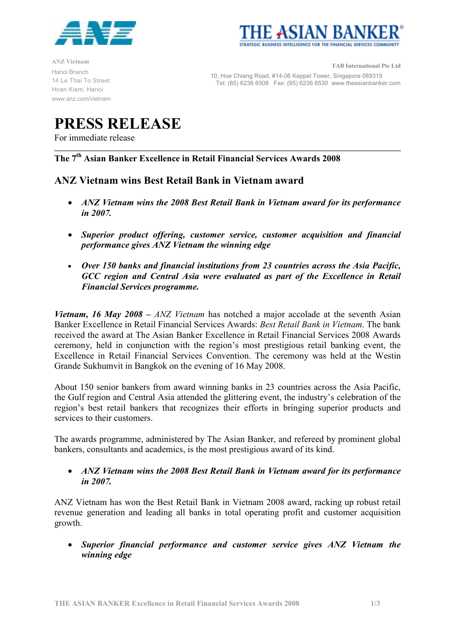



ANZ Vietnam Hanoi Branch 14 Le Thai To Street Hoan Kiem, Hanoi www.anz.com/vietnam

TAB International Pte Ltd 10, Hoe Chiang Road, #14-06 Keppel Tower, Singapore 089315 Tel: (65) 6236 6508 Fax: (65) 6236 6530 www.theasianbanker.com

# PRESS RELEASE

For immediate release

The 7th Asian Banker Excellence in Retail Financial Services Awards 2008

## ANZ Vietnam wins Best Retail Bank in Vietnam award

- ANZ Vietnam wins the 2008 Best Retail Bank in Vietnam award for its performance in 2007.
- Superior product offering, customer service, customer acquisition and financial performance gives ANZ Vietnam the winning edge
- Over 150 banks and financial institutions from 23 countries across the Asia Pacific, GCC region and Central Asia were evaluated as part of the Excellence in Retail Financial Services programme.

*Vietnam, 16 May 2008 – ANZ Vietnam* has notched a major accolade at the seventh Asian Banker Excellence in Retail Financial Services Awards: Best Retail Bank in Vietnam. The bank received the award at The Asian Banker Excellence in Retail Financial Services 2008 Awards ceremony, held in conjunction with the region's most prestigious retail banking event, the Excellence in Retail Financial Services Convention. The ceremony was held at the Westin Grande Sukhumvit in Bangkok on the evening of 16 May 2008.

About 150 senior bankers from award winning banks in 23 countries across the Asia Pacific, the Gulf region and Central Asia attended the glittering event, the industry's celebration of the region's best retail bankers that recognizes their efforts in bringing superior products and services to their customers.

The awards programme, administered by The Asian Banker, and refereed by prominent global bankers, consultants and academics, is the most prestigious award of its kind.

• ANZ Vietnam wins the 2008 Best Retail Bank in Vietnam award for its performance in 2007.

ANZ Vietnam has won the Best Retail Bank in Vietnam 2008 award, racking up robust retail revenue generation and leading all banks in total operating profit and customer acquisition growth.

• Superior financial performance and customer service gives ANZ Vietnam the winning edge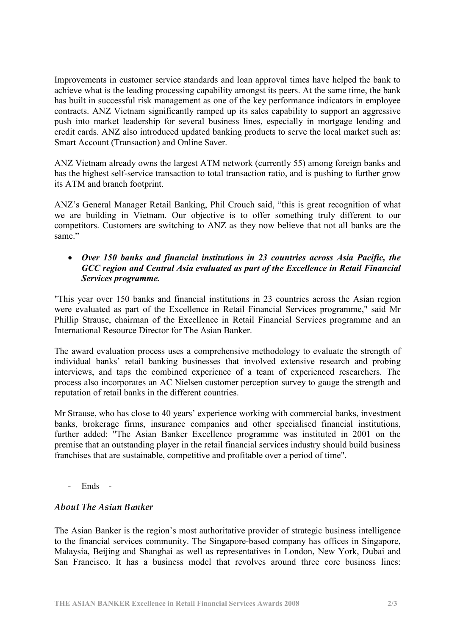Improvements in customer service standards and loan approval times have helped the bank to achieve what is the leading processing capability amongst its peers. At the same time, the bank has built in successful risk management as one of the key performance indicators in employee contracts. ANZ Vietnam significantly ramped up its sales capability to support an aggressive push into market leadership for several business lines, especially in mortgage lending and credit cards. ANZ also introduced updated banking products to serve the local market such as: Smart Account (Transaction) and Online Saver.

ANZ Vietnam already owns the largest ATM network (currently 55) among foreign banks and has the highest self-service transaction to total transaction ratio, and is pushing to further grow its ATM and branch footprint.

ANZ's General Manager Retail Banking, Phil Crouch said, "this is great recognition of what we are building in Vietnam. Our objective is to offer something truly different to our competitors. Customers are switching to ANZ as they now believe that not all banks are the same."

### • Over 150 banks and financial institutions in 23 countries across Asia Pacific, the GCC region and Central Asia evaluated as part of the Excellence in Retail Financial Services programme.

"This year over 150 banks and financial institutions in 23 countries across the Asian region were evaluated as part of the Excellence in Retail Financial Services programme," said Mr Phillip Strause, chairman of the Excellence in Retail Financial Services programme and an International Resource Director for The Asian Banker.

The award evaluation process uses a comprehensive methodology to evaluate the strength of individual banks' retail banking businesses that involved extensive research and probing interviews, and taps the combined experience of a team of experienced researchers. The process also incorporates an AC Nielsen customer perception survey to gauge the strength and reputation of retail banks in the different countries.

Mr Strause, who has close to 40 years' experience working with commercial banks, investment banks, brokerage firms, insurance companies and other specialised financial institutions, further added: "The Asian Banker Excellence programme was instituted in 2001 on the premise that an outstanding player in the retail financial services industry should build business franchises that are sustainable, competitive and profitable over a period of time".

- Ends -

## A hout The Asian Banker

The Asian Banker is the region's most authoritative provider of strategic business intelligence to the financial services community. The Singapore-based company has offices in Singapore, Malaysia, Beijing and Shanghai as well as representatives in London, New York, Dubai and San Francisco. It has a business model that revolves around three core business lines: